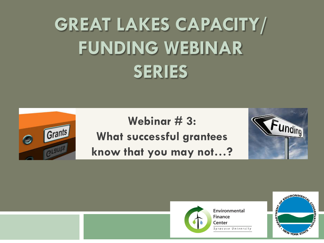## **GREAT LAKES CAPACITY/ FUNDING WEBINAR SERIES**

# Grants  $\bullet$

**Webinar # 3: What successful grantees know that you may not…?**





Environmental **Finance** Center Syracuse University

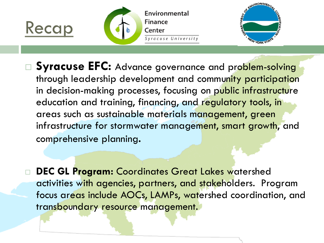





- □ Syracuse EFC: Advance governance and problem-solving through leadership development and community participation in decision-making processes, focusing on public infrastructure education and training, financing, and regulatory tools, in areas such as sustainable materials management, green infrastructure for stormwater management, smart growth, and comprehensive planning.
	- **DEC GL Program: Coordinates Great Lakes watershed** activities with agencies, partners, and stakeholders. Program focus areas include AOCs, LAMPs, watershed coordination, and transboundary resource management.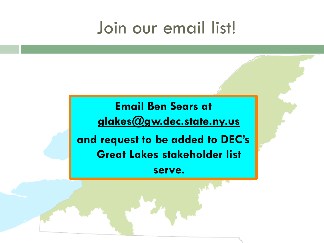#### Join our email list!

**Email Ben Sears at glakes@gw.dec.state.ny.us** 

**and request to be added to DEC's Great Lakes stakeholder list** 

**serve.**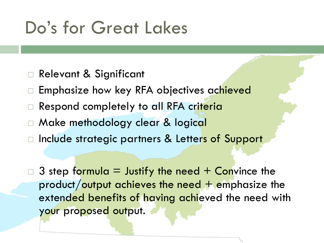### Do's for Great Lakes

- □ Relevant & Significant
- □ Emphasize how key RFA objectives achieved
- □ Respond completely to all RFA criteria
- □ Make methodology clear & logical
- □ Include strategic partners & Letters of Support

 $\beta$  step formula = Justify the need + Convince the product/output achieves the need  $+$  emphasize the extended benefits of having achieved the need with your proposed output.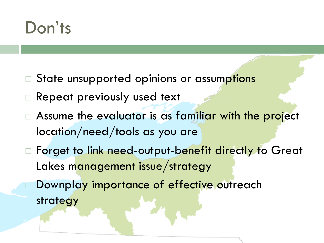#### Don'ts

- □ State unsupported opinions or assumptions
- □ Repeat previously used text
- $\Box$  Assume the evaluator is as familiar with the project location/need/tools as you are
- □ Forget to link need-output-benefit directly to Great Lakes management issue/strategy
	- Downplay importance of effective outreach strategy